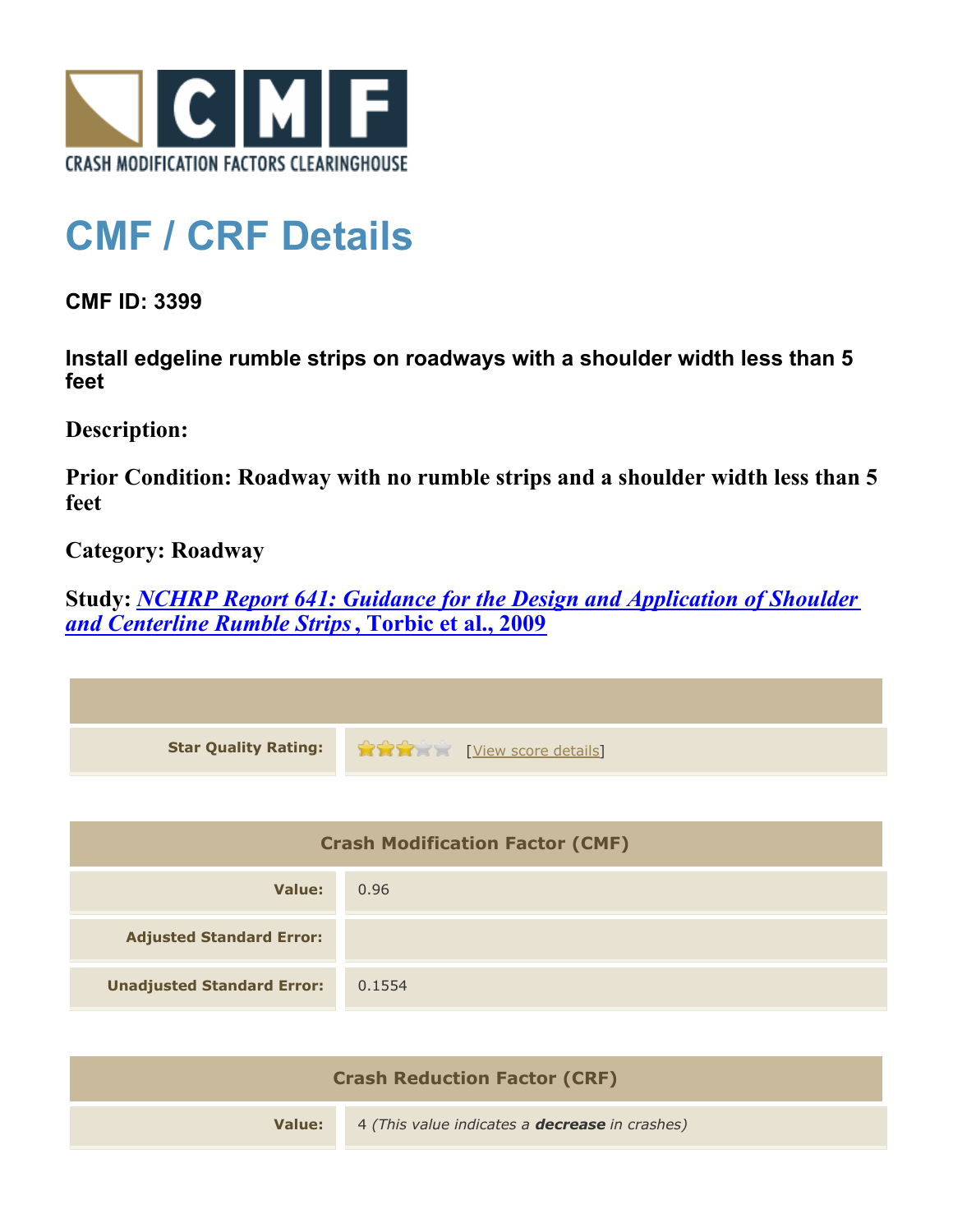

## **CMF / CRF Details**

**CMF ID: 3399**

**Install edgeline rumble strips on roadways with a shoulder width less than 5 feet**

**Description:** 

**Prior Condition: Roadway with no rumble strips and a shoulder width less than 5 feet**

**Category: Roadway**

**Study:** *[NCHRP Report 641: Guidance for the Design and Application of Shoulder](http://www.cmfclearinghouse.org/study_detail.cfm?stid=206) [and Centerline Rumble Strips](http://www.cmfclearinghouse.org/study_detail.cfm?stid=206)***[, Torbic et al., 2009](http://www.cmfclearinghouse.org/study_detail.cfm?stid=206)**

| <b>Star Quality Rating:</b>            | <b>TYPE [View score details]</b> |  |
|----------------------------------------|----------------------------------|--|
|                                        |                                  |  |
| <b>Crash Modification Factor (CMF)</b> |                                  |  |
| <b>Value:</b>                          | 0.96                             |  |
| <b>Adjusted Standard Error:</b>        |                                  |  |
| <b>Unadjusted Standard Error:</b>      | 0.1554                           |  |
|                                        |                                  |  |

| <b>Crash Reduction Factor (CRF)</b> |                                                       |
|-------------------------------------|-------------------------------------------------------|
| Value: I                            | 4 (This value indicates a <b>decrease</b> in crashes) |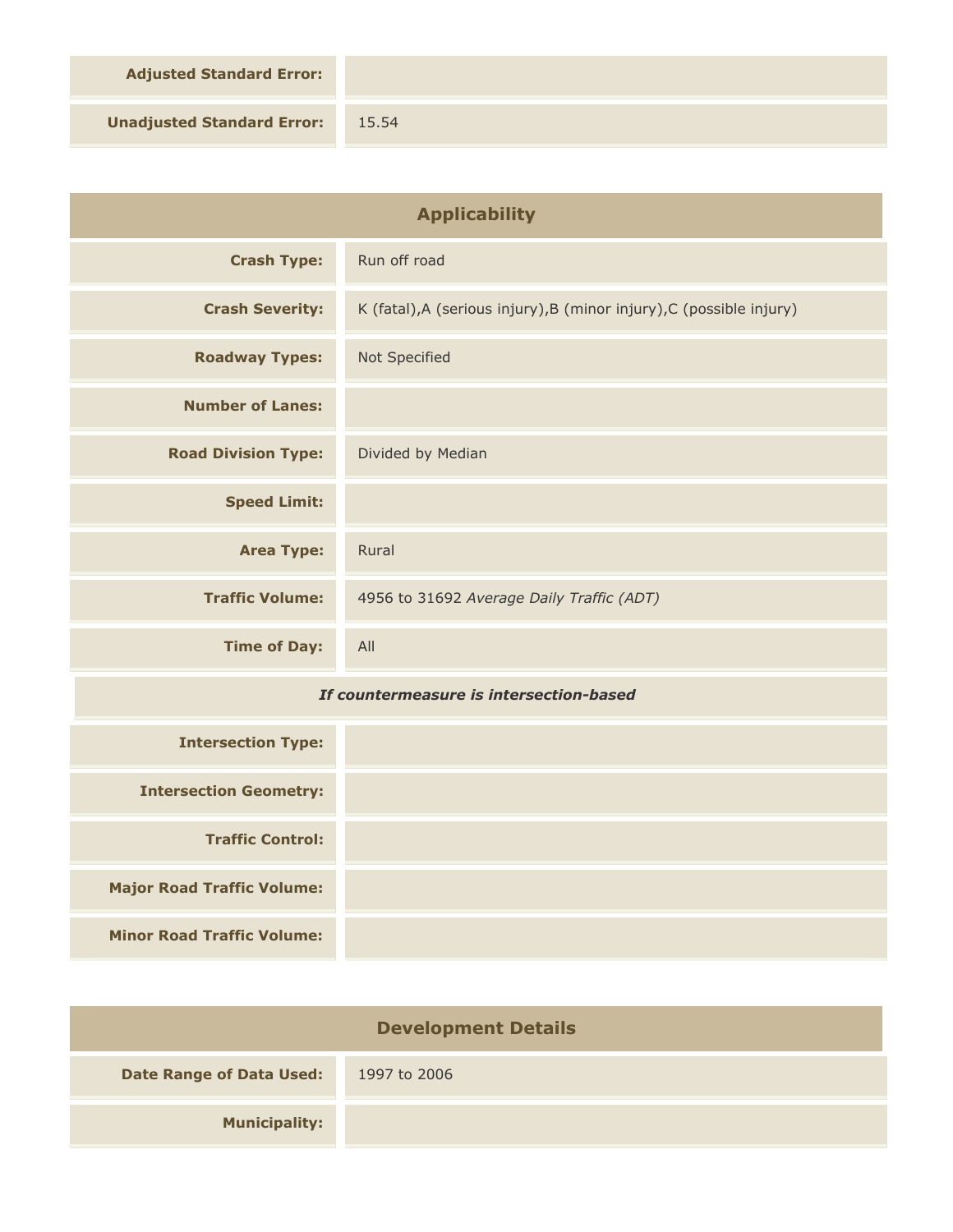**Adjusted Standard Error:**

**Unadjusted Standard Error:** 15.54

| <b>Applicability</b>                    |                                                                      |
|-----------------------------------------|----------------------------------------------------------------------|
| <b>Crash Type:</b>                      | Run off road                                                         |
| <b>Crash Severity:</b>                  | K (fatal), A (serious injury), B (minor injury), C (possible injury) |
| <b>Roadway Types:</b>                   | Not Specified                                                        |
| <b>Number of Lanes:</b>                 |                                                                      |
| <b>Road Division Type:</b>              | Divided by Median                                                    |
| <b>Speed Limit:</b>                     |                                                                      |
| <b>Area Type:</b>                       | Rural                                                                |
| <b>Traffic Volume:</b>                  | 4956 to 31692 Average Daily Traffic (ADT)                            |
| <b>Time of Day:</b>                     | All                                                                  |
| If countermeasure is intersection-based |                                                                      |
| <b>Intersection Type:</b>               |                                                                      |
| <b>Intersection Geometry:</b>           |                                                                      |
| <b>Traffic Control:</b>                 |                                                                      |
| <b>Major Road Traffic Volume:</b>       |                                                                      |
| <b>Minor Road Traffic Volume:</b>       |                                                                      |

| <b>Development Details</b>      |              |  |
|---------------------------------|--------------|--|
| <b>Date Range of Data Used:</b> | 1997 to 2006 |  |
| <b>Municipality:</b>            |              |  |